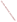